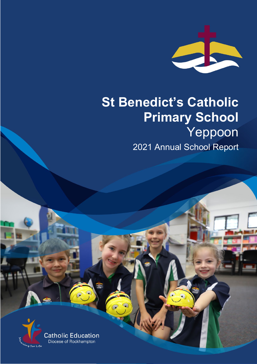

# **St Benedict's Catholic Primary School** Yeppoon 2021 Annual School Report

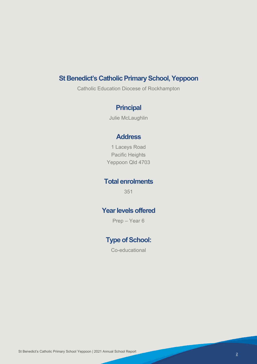# **St Benedict's Catholic Primary School, Yeppoon**

Catholic Education Diocese of Rockhampton

# **Principal**

Julie McLaughlin

## **Address**

1 Laceys Road Pacific Heights Yeppoon Qld 4703

## **Total enrolments**

351

# **Year levels offered**

Prep – Year 6

# **Type of School:**

Co-educational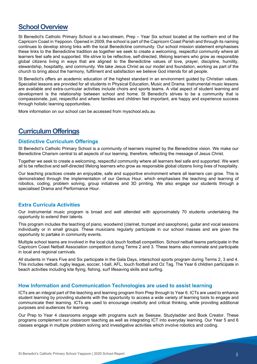# **School Overview**

St Benedict's Catholic Primary School is a two-stream, Prep – Year Six school located at the northern end of the Capricorn Coast in Yeppoon. Opened in 2009, the school is part of the Capricorn Coast Parish and through its naming continues to develop strong links with the local Benedictine community. Our school mission statement emphasises these links to the Benedictine tradition as together we seek to create a welcoming, respectful community where all learners feel safe and supported. We strive to be reflective, self-directed, lifelong learners who grow as responsible global citizens living in ways that are aligned to the Benedictine values of love, prayer, discipline, humility, stewardship, hospitality, and community. We take Jesus Christ as our model and foundation, working as part of the church to bring about the harmony, fulfilment and satisfaction we believe God intends for all people.

St Benedict's offers an academic education of the highest standard in an environment guided by Christian values. Specialist lessons are provided for all students in Physical Education, Music and Drama. Instrumental music lessons are available and extra-curricular activities include choirs and sports teams. A vital aspect of student learning and development is the relationship between school and home. St Benedict's strives to be a community that is compassionate, just, respectful and where families and children feel important, are happy and experience success through holistic learning opportunities.

More information on our school can be accessed from myschool.edu.au

# **Curriculum Offerings**

## **Distinctive Curriculum Offerings**

St Benedict's Catholic Primary School is a community of learners inspired by the Benedictine vision. We make our Benedictine Charism central to all aspects of our learning, therefore, reflecting the message of Jesus Christ.

Together we seek to create a welcoming, respectful community where all learners feel safe and supported. We want all to be reflective and self-directed lifelong learners who grow as responsible global citizens living lives of hospitality.

Our teaching practices create an enjoyable, safe and supportive environment where all learners can grow. This is demonstrated through the implementation of our Genius Hour, which emphasises the teaching and learning of robotics, coding, problem solving, group initiatives and 3D printing. We also engage our students through a specialised Drama and Performance Hour.

## **Extra Curricula Activities**

Our instrumental music program is broad and well attended with approximately 70 students undertaking the opportunity to extend their talents.

This program includes the teaching of piano, woodwind (clarinet, trumpet and saxophone), guitar and vocal sessions individually or in small groups. These musicians regularly participate in our school masses and are given the opportunity to partake in community events.

Multiple school teams are involved in the local club touch football competition. School netball teams participate in the Capricorn Coast Netball Association competition during Terms 2 and 3. These teams also nominate and participate in local and regional carnivals.

All students in Years Five and Six participate in the Gala Days, interschool sports program during Terms 2, 3 and 4. This includes netball, rugby league, soccer, t-ball, AFL, touch football and Oz Tag. The Year 6 children participate in beach activities including kite flying, fishing, surf lifesaving skills and surfing.

## **How Information and Communication Technologies are used to assist learning**

ICTs are an integral part of the teaching and learning program from Prep through to Year 6. ICTs are used to enhance student learning by providing students with the opportunity to access a wide variety of learning tools to engage and communicate their learning. ICTs are used to encourage creativity and critical thinking, while providing additional purposes and audiences for learning.

Our Prep to Year 4 classrooms engage with programs such as Seesaw, Studyladder and Book Creator. These programs complement our classroom teaching as well as integrating ICT into everyday learning. Our Year 5 and 6 classes engage in multiple problem solving and investigative activities which involve robotics and coding.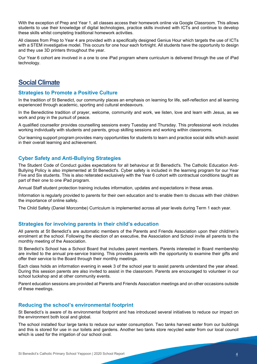With the exception of Prep and Year 1, all classes access their homework online via Google Classroom. This allows students to use their knowledge of digital technologies, practice skills involved with ICTs and continue to develop these skills whilst completing traditional homework activities.

All classes from Prep to Year 4 are provided with a specifically designed Genius Hour which targets the use of ICTs with a STEM investigative model. This occurs for one hour each fortnight. All students have the opportunity to design and they use 3D printers throughout the year.

Our Year 6 cohort are involved in a one to one iPad program where curriculum is delivered through the use of iPad technology.

# **Social Climate**

## **Strategies to Promote a Positive Culture**

In the tradition of St Benedict, our community places an emphasis on learning for life, self-reflection and all learning experienced through academic, sporting and cultural endeavours.

In the Benedictine tradition of prayer, welcome, community and work, we listen, love and learn with Jesus, as we work and pray in the pursuit of peace.

A qualified counsellor provides counselling sessions every Tuesday and Thursday. This professional work includes working individually with students and parents, group skilling sessions and working within classrooms.

Our learning support program provides many opportunities for students to learn and practice social skills which assist in their overall learning and achievement.

## **Cyber Safety and Anti-Bullying Strategies**

The Student Code of Conduct guides expectations for all behaviour at St Benedict's. The Catholic Education Anti-Bullying Policy is also implemented at St Benedict's. Cyber safety is included in the learning program for our Year Five and Six students. This is also reiterated exclusively with the Year 6 cohort with contractual conditions taught as part of their one to one iPad program.

Annual Staff student protection training includes information, updates and expectations in these areas.

Information is regularly provided to parents for their own education and to enable them to discuss with their children the importance of online safety.

The Child Safety (Daniel Morcombe) Curriculum is implemented across all year levels during Term 1 each year.

## **Strategies for involving parents in their child's education**

All parents at St Benedict's are automatic members of the Parents and Friends Association upon their child/ren's enrolment at the school. Following the election of an executive, the Association and School invite all parents to the monthly meeting of the Association.

St Benedict's School has a School Board that includes parent members. Parents interested in Board membership are invited to the annual pre-service training. This provides parents with the opportunity to examine their gifts and offer their service to the Board through their monthly meetings.

Each class holds an information evening in week 3 of the school year to assist parents understand the year ahead. During this session parents are also invited to assist in the classroom. Parents are encouraged to volunteer in our school tuckshop and at other community events.

Parent education sessions are provided at Parents and Friends Association meetings and on other occasions outside of these meetings.

## **Reducing the school's environmental footprint**

St Benedict's is aware of its environmental footprint and has introduced several initiatives to reduce our impact on the environment both local and global.

The school installed four large tanks to reduce our water consumption. Two tanks harvest water from our buildings and this is stored for use in our toilets and gardens. Another two tanks store recycled water from our local council which is used for the irrigation of our school oval.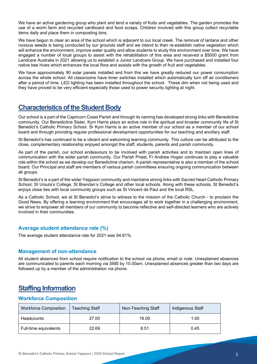We have an active gardening group who plant and tend a variety of fruits and vegetables. The garden promotes the use of a worm farm and recycled cardboard and food scraps. Children involved with this group collect recyclable items daily and place them in composting bins.

We have begun to clear an area of the school which is adjacent to our local creek. The removal of lantana and other noxious weeds is being conducted by our grounds staff and we intend to then re-establish native vegetation which will enhance the environment, improve water quality and allow students to study this environment over time. We have engaged a number of local groups to assist with the rehabilitation of this area and received a \$5000 grant from Landcare Australia in 2021 allowing us to establish a Junior Landcare Group. We have purchased and installed four native bee hives which enhances the local flora and assists with the growth of fruit and vegetables.

We have approximately 90 solar panels installed and from this we have greatly reduced our power consumption across the whole school. All classrooms have timer switches installed which automatically turn off air conditioners after a period of time. LED lighting has been installed throughout the school. These dim when not being used and they have proved to be very efficient especially those used to power security lighting at night.

# **Characteristics of the Student Body**

Our school is a part of the Capricorn Coast Parish and through its naming has developed strong links with Benedictine community. Our Benedictine Sister, Kym Harris plays an active role in the spiritual and broader community life of St Benedict's Catholic Primary School. Sr Kym Harris is an active member of our school as a member of our school board and through providing regular professional development opportunities for our teaching and ancillary staff.

St Benedict's has continued to be a vibrant and welcoming learning community. This culture can be attributed to the close, complementary relationship enjoyed amongst the staff, students, parents and parish community.

As part of the parish, our school endeavours to be involved with parish activities and to maintain open lines of communication with the wider parish community. Our Parish Priest, Fr Andrew Hogan continues to play a valuable role within the school as we develop our Benedictine charism. A parish representative is also a member of the school board. Our Principal and staff are members of various parish committees ensuring ongoing communication between all groups.

St Benedict's is a part of the wider Yeppoon community and maintains strong links with Sacred Heart Catholic Primary School, St Ursula's College, St Brendan's College and other local schools. Along with these schools, St Benedict's enjoys close ties with local community groups such as St Vincent de Paul and the local RSL.

As a Catholic School, we at St Benedict's strive to witness to the mission of the Catholic Church - to proclaim the Good News. By offering a learning environment that encourages all to work together in a challenging environment, we strive to empower all members of our community to become reflective and self-directed learners who are actively involved in their communities.

## **Average student attendance rate (%)**

The average student attendance rate for 2021 was 94.61%.

## **Management of non-attendance**

All student absences from school require notification to the school via phone, email or note. Unexplained absences are communicated to parents each morning via SMS by 10.00am. Unexplained absences greater than two days are followed up by a member of the administration via phone.

# **Staffing Information**

## **Workforce Composition**

| <b>Workforce Composition</b> | Teaching Staff | Non-Teaching Staff | Indigenous Staff |
|------------------------------|----------------|--------------------|------------------|
| <b>Headcounts</b>            | 27.00          | 16.00              | 1.00             |
| Full-time equivalents        | 22.69          | 8.51               | 0.45             |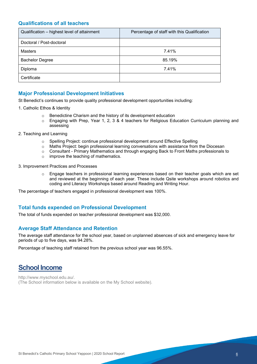## **Qualifications of all teachers**

| Qualification - highest level of attainment | Percentage of staff with this Qualification |
|---------------------------------------------|---------------------------------------------|
| Doctoral / Post-doctoral                    |                                             |
| <b>Masters</b>                              | 7.41%                                       |
| <b>Bachelor Degree</b>                      | 85.19%                                      |
| Diploma                                     | 7.41%                                       |
| Certificate                                 |                                             |

## **Major Professional Development Initiatives**

St Benedict's continues to provide quality professional development opportunities including:

- 1. Catholic Ethos & Identity
	- o Benedictine Charism and the history of its development education
	- o Engaging with Prep, Year 1, 2, 3 & 4 teachers for Religious Education Curriculum planning and assessing
- 2. Teaching and Learning
	- o Spelling Project: continue professional development around Effective Spelling
	- o Maths Project: begin professional learning conversations with assistance from the Diocesan
	- $\circ$  Consultant Primary Mathematics and through engaging Back to Front Maths professionals to improve the teaching of mathematics.
	- improve the teaching of mathematics.
- 3. Improvement Practices and Processes
	- o Engage teachers in professional learning experiences based on their teacher goals which are set and reviewed at the beginning of each year. These include Qsite workshops around robotics and coding and Literacy Workshops based around Reading and Writing Hour.

The percentage of teachers engaged in professional development was 100%.

## **Total funds expended on Professional Development**

The total of funds expended on teacher professional development was \$32,000.

## **Average Staff Attendance and Retention**

The average staff attendance for the school year, based on unplanned absences of sick and emergency leave for periods of up to five days, was 94.28%.

Percentage of teaching staff retained from the previous school year was 96.55%.

# **School Income**

http://www.myschool.edu.au/. (The School information below is available on the My School website).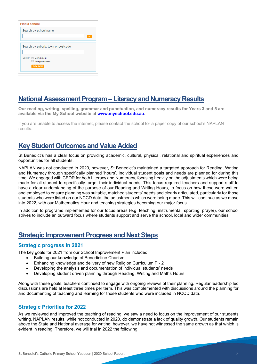| Find a school                      |    |  |
|------------------------------------|----|--|
| Search by school name              |    |  |
|                                    | GC |  |
| Search by suburb, town or postcode |    |  |
|                                    |    |  |
| Sector <b>Government</b>           |    |  |
| Non-government                     |    |  |
| <b>SEARCH</b>                      |    |  |

# **National Assessment Program – Literacy and Numeracy Results**

**Our reading, writing, spelling, grammar and punctuation, and numeracy results for Years 3 and 5 are available via the My School website at [www.myschool.edu.au.](http://www.myschool.edu.au/)** 

If you are unable to access the internet, please contact the school for a paper copy of our school's NAPLAN results.

# **Key Student Outcomes and Value Added**

St Benedict's has a clear focus on providing academic, cultural, physical, relational and spiritual experiences and opportunities for all students.

NAPLAN was not conducted in 2020, however, St Benedict's maintained a targeted approach for Reading, Writing and Numeracy through specifically planned 'hours'. Individual student goals and needs are planned for during this time. We engaged with CEDR for both Literacy and Numeracy, focusing heavily on the adjustments which were being made for all student to specifically target their individual needs. This focus required teachers and support staff to have a clear understanding of the purpose of our Reading and Writing Hours, to focus on how these were written and employed to ensure planning was suitable, matched students' needs and clearly articulated, particularly for those students who were listed on our NCCD data, the adjustments which were being made. This will continue as we move into 2022, with our Mathematics Hour and teaching strategies becoming our major focus.

In addition to programs implemented for our focus areas (e.g. teaching, instrumental, sporting, prayer), our school strives to include an outward focus where students support and serve the school, local and wider communities.

# **Strategic Improvement Progress and Next Steps**

## **Strategic progress in 2021**

The key goals for 2021 from our School Improvement Plan included:

- Building our knowledge of Benedictine Charism
- Enhancing knowledge and delivery of new Religion Curriculum P 2
- Developing the analysis and documentation of individual students' needs
- Developing student driven planning through Reading, Writing and Maths Hours

Along with these goals, teachers continued to engage with ongoing reviews of their planning. Regular leadership led discussions are held at least three times per term. This was complemented with discussions around the planning for and documenting of teaching and learning for those students who were included in NCCD data.

## **Strategic Priorities for 2022**

As we reviewed and improved the teaching of reading, we saw a need to focus on the improvement of our students writing. NAPLAN results, while not conducted in 2020, do demonstrate a lack of quality growth. Our students remain above the State and National average for writing; however, we have not witnessed the same growth as that which is evident in reading. Therefore, we will trial in 2022 the following: